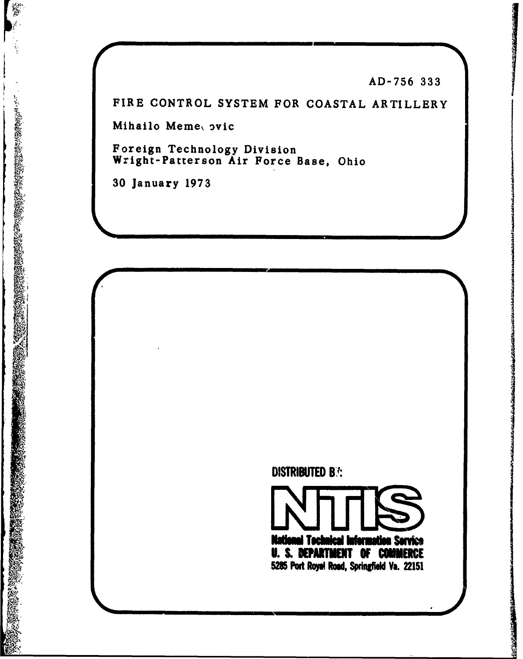**AD-756 333**

FIRE CONTROL SYSTEM FOR **COASTAL** ARTILLERY

Mihailo Meme, ovic

Foreign Technology Division Wright-Patterson Air Force Base, Ohio

**30** January **1973 OKINE AND A REPORT OF A REPORT OF A REPORT OF A REPORT OF A REPORT OF A REPORT OF A REPORT OF A REPORT OF A R** 

**は、その時に、このことができることです。その時に、この時のことができます。** 



i Tacha

' Fi

**U. S. DEPARTMENT OF COMMERCE 5285 Port Royal Road, Springfield Va. 22151** 

man

اووا

**nation Service**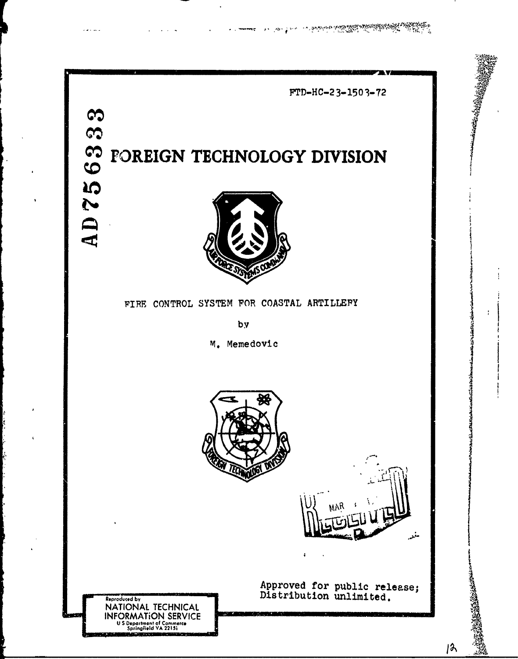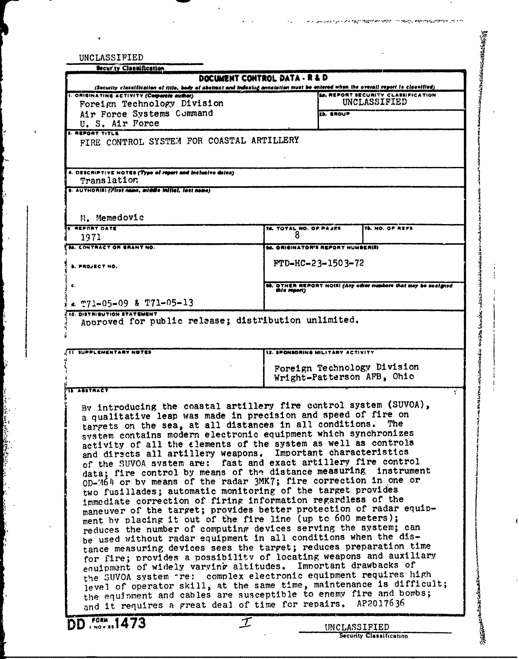| UNCLASSIFIED<br><b>Security Classification</b>                                                                                                                                   |                                          |                   |                                                                |  |  |  |
|----------------------------------------------------------------------------------------------------------------------------------------------------------------------------------|------------------------------------------|-------------------|----------------------------------------------------------------|--|--|--|
|                                                                                                                                                                                  | <b>DOCUMENT CONTROL DATA - R &amp; D</b> |                   |                                                                |  |  |  |
| (Security classification of title, body of abstract and indexing annotation must be entered when the overall report is classified)<br>1. ORIGINATING ACTIVITY (Corporate author) |                                          |                   | <b>26. REPORT SECURITY CLASSIFICATION</b>                      |  |  |  |
| Foreign Technology Division                                                                                                                                                      |                                          | UNCLASSIFIED      |                                                                |  |  |  |
| Air Force Systems Command<br>U. S. Air Force                                                                                                                                     |                                          | <b>Zb. SROUP</b>  |                                                                |  |  |  |
| <b>3. REPORT TITLE</b>                                                                                                                                                           |                                          |                   |                                                                |  |  |  |
| FIRE CONTROL SYSTEM FOR COASTAL ARTILLERY                                                                                                                                        |                                          |                   |                                                                |  |  |  |
|                                                                                                                                                                                  |                                          |                   |                                                                |  |  |  |
| 4. DESCRIPTIVE NOTES (Type of report and inclusive datea)<br>Translation                                                                                                         |                                          |                   |                                                                |  |  |  |
| s. AUTHOR(S) ( <i>First neme, middle initial, last neme</i> )                                                                                                                    |                                          |                   |                                                                |  |  |  |
|                                                                                                                                                                                  |                                          |                   |                                                                |  |  |  |
| N. Memedovic                                                                                                                                                                     |                                          |                   |                                                                |  |  |  |
| <b>REPORT DATE</b>                                                                                                                                                               | 78. TOTAL NO. OF PAJES                   |                   | <b>75. NO. OF REFS</b>                                         |  |  |  |
| 1971<br><b>M. CONTRACT OR GRANT NO.</b>                                                                                                                                          | <b>66. ORIGINATOR'S REPORT NUMBER(S)</b> |                   |                                                                |  |  |  |
|                                                                                                                                                                                  |                                          | FTD-HC-23-1503-72 |                                                                |  |  |  |
| 5. PROJECT NO.                                                                                                                                                                   |                                          |                   |                                                                |  |  |  |
| c.                                                                                                                                                                               | this report)                             |                   | 90. OTHER REPORT NO(S) (Any other numbers that may be accident |  |  |  |
| $\epsilon$ m71-05-09 & T71-05-13                                                                                                                                                 |                                          |                   |                                                                |  |  |  |
| 10. DISTRIBUTION STATEMENT<br>Approved for public release; distribution unlimited.                                                                                               |                                          |                   |                                                                |  |  |  |
|                                                                                                                                                                                  |                                          |                   |                                                                |  |  |  |
|                                                                                                                                                                                  |                                          |                   |                                                                |  |  |  |
|                                                                                                                                                                                  |                                          |                   |                                                                |  |  |  |
| SUPPLEMENTARY NOTES                                                                                                                                                              | 12. SPONSORING MILITARY ACTIVITY         |                   |                                                                |  |  |  |
|                                                                                                                                                                                  |                                          |                   | Foreign Technology Division                                    |  |  |  |
|                                                                                                                                                                                  |                                          |                   | Wright-Patterson AFB, Ohio                                     |  |  |  |
| <b>IS ABSTRACT</b>                                                                                                                                                               |                                          |                   |                                                                |  |  |  |
| By introducing the coastal artillery fire control system (SUVOA),                                                                                                                |                                          |                   |                                                                |  |  |  |
| a qualitative leap was made in precision and speed of fire on                                                                                                                    |                                          |                   | The                                                            |  |  |  |
| targets on the sea, at all distances in all conditions.<br>system contains modern electronic equipment which synchronizes                                                        |                                          |                   |                                                                |  |  |  |
| activity of all the elements of the system as well as controls                                                                                                                   |                                          |                   |                                                                |  |  |  |
| and directs all artillery weapons. Important characteristics                                                                                                                     |                                          |                   |                                                                |  |  |  |
| of the SUVOA system are: fast and exact artillery fire control                                                                                                                   |                                          |                   |                                                                |  |  |  |
| data; fire control by means of the distance measuring instrument                                                                                                                 |                                          |                   |                                                                |  |  |  |
| OD-M64 or by means of the radar 3MK7; fire correction in one or                                                                                                                  |                                          |                   |                                                                |  |  |  |
| two fusillades; automatic monitoring of the target provides<br>immediate correction of firing information regardless of the                                                      |                                          |                   |                                                                |  |  |  |
| maneuver of the target; provides better protection of radar equip-                                                                                                               |                                          |                   |                                                                |  |  |  |
| ment by placing it out of the fire line (up to 600 meters);                                                                                                                      |                                          |                   |                                                                |  |  |  |
| reduces the number of computing devices serving the system; can                                                                                                                  |                                          |                   |                                                                |  |  |  |
| be used without radar equipment in all conditions when the dis-                                                                                                                  |                                          |                   |                                                                |  |  |  |
| tance measuring devices sees the target; reduces preparation time                                                                                                                |                                          |                   |                                                                |  |  |  |
| for fire; provides a possibility of locating weapons and auxiliary                                                                                                               |                                          |                   |                                                                |  |  |  |
| equipment of widely varying altitudes. Important drawbacks of                                                                                                                    |                                          |                   |                                                                |  |  |  |
| the SUVOA system rre: complex electronic equipment requires high<br>level of operator skill, at the same time, maintenance is difficult;                                         |                                          |                   |                                                                |  |  |  |
| the equipment and cables are susceptible to enemy fire and bombs;                                                                                                                |                                          |                   |                                                                |  |  |  |
| and it requires a great deal of time for repairs. AP2017636                                                                                                                      |                                          |                   |                                                                |  |  |  |
| <b>DD</b> rorm, 1473                                                                                                                                                             | $\mathcal{T}$                            | UNCLASSIFIED      |                                                                |  |  |  |

I.

المادية المعالجة المعالجة<br>المادية المعالجة

 $\ddot{\phantom{0}}$ 

 $\mathbf{r}$ 

and specification of a state replace properties are complete the second and complete the state of the state

**MARKET STATE OF THE ANNUAL STATE OF THE ANNUAL STATE OF THE ANNUAL STATE OF THE ANNUAL STATE OF THE ANNUAL STATE OF THE ANNUAL STATE OF THE ANNUAL STATE OF THE ANNUAL STATE OF THE ANNUAL STATE OF THE ANNUAL STATE OF THE A** 

÷ ţ

-1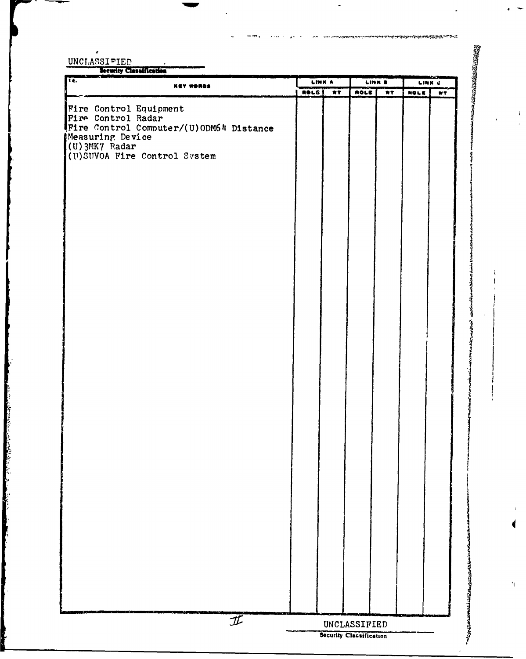$\boldsymbol{i}$ 

 $\mathbf{r}$ 

| $\overline{\bullet}$ .<br>KEY WORDS            |              | <b>LINK A</b>           |                         | <b>LINK B</b>  |      | LINK C |  |
|------------------------------------------------|--------------|-------------------------|-------------------------|----------------|------|--------|--|
|                                                | <b>ROLS</b>  | $\overline{\mathbf{w}}$ | ROLE                    | $\overline{w}$ | NOLE | WT.    |  |
| Fire Control Equipment                         |              |                         |                         |                |      |        |  |
| Fire Control Radar                             |              |                         |                         |                |      |        |  |
| Fire Control Computer/(U)ODM64 Distance        |              |                         |                         |                |      |        |  |
| Measuring Device                               |              |                         |                         |                |      |        |  |
| (U) 3MK7 Radar<br>(U)SUVOA Fire Control System |              |                         |                         |                |      |        |  |
|                                                |              |                         |                         |                |      |        |  |
|                                                |              |                         |                         |                |      |        |  |
|                                                |              |                         |                         |                |      |        |  |
|                                                |              |                         |                         |                |      |        |  |
|                                                |              |                         |                         |                |      |        |  |
|                                                |              |                         |                         |                |      |        |  |
|                                                |              |                         |                         |                |      |        |  |
|                                                |              |                         |                         |                |      |        |  |
|                                                |              |                         |                         |                |      |        |  |
|                                                |              |                         |                         |                |      |        |  |
|                                                |              |                         |                         |                |      |        |  |
|                                                |              |                         |                         |                |      |        |  |
|                                                |              |                         |                         |                |      |        |  |
|                                                |              |                         |                         |                |      |        |  |
|                                                |              |                         |                         |                |      |        |  |
|                                                |              |                         |                         |                |      |        |  |
|                                                |              |                         |                         |                |      |        |  |
|                                                |              |                         |                         |                |      |        |  |
|                                                |              |                         |                         |                |      |        |  |
|                                                |              |                         |                         |                |      |        |  |
|                                                |              |                         |                         |                |      |        |  |
|                                                |              |                         |                         |                |      |        |  |
|                                                |              |                         |                         |                |      |        |  |
|                                                |              |                         |                         |                |      |        |  |
|                                                |              |                         |                         |                |      |        |  |
|                                                |              |                         |                         |                |      |        |  |
|                                                |              |                         |                         |                |      |        |  |
|                                                |              |                         |                         |                |      |        |  |
|                                                |              |                         |                         |                |      |        |  |
|                                                |              |                         |                         |                |      |        |  |
|                                                |              |                         |                         |                |      |        |  |
|                                                |              |                         |                         |                |      |        |  |
|                                                |              |                         |                         |                |      |        |  |
|                                                |              |                         |                         |                |      |        |  |
|                                                |              |                         |                         |                |      |        |  |
|                                                |              |                         |                         |                |      |        |  |
|                                                |              |                         |                         |                |      |        |  |
|                                                |              |                         |                         |                |      |        |  |
|                                                |              |                         |                         |                |      |        |  |
|                                                |              |                         |                         |                |      |        |  |
| $I\!\!\!I$                                     | UNCLASSIFIED |                         |                         |                |      |        |  |
|                                                |              |                         | Security Classification |                |      |        |  |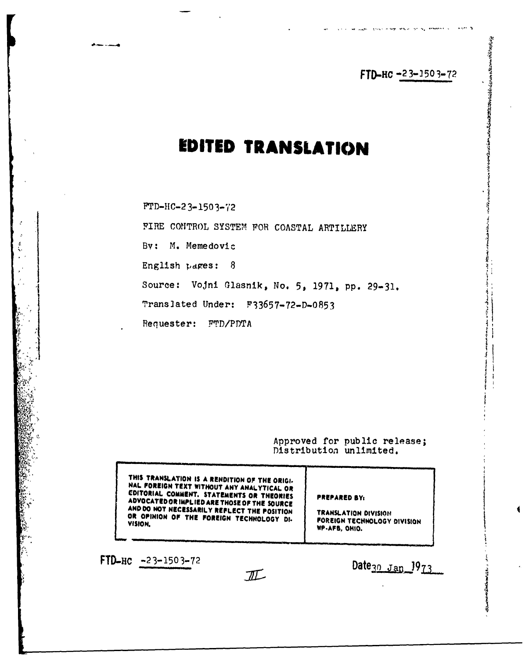**FTD-HC -23-1503-72** 

The company that we want in a service of the company of the service

# **EDITED TRANSLATION**

**FTD-1IC-2 3-1503-72**

بالمستعدد المعارض

FIRE CONTROL SYSTEM **FOR COASTAL** ARTILLERY

**Bv:** M. Memedovic *'*

English pages: 8

Source: VoJni Glasnik, No. **5, 1971, pp. 29-31.**

Translated Under: **F33657-72-D-0853**

Requester: FTD/PDTA

Approved **for** public release; Distribution unlimited.

**THIS TRANSLATION IS A RENDITION Of THE ORIGI. NAL FOREIGN TEXT WITHOUT ANY ANALYTICAL OR EDITORIAL COMMENT. STATEMENTS OR THEORIES** EDITORIAL COMMENT. STATEMENTS OR THEORIES<br>ADVOCATED OR IMPLIED ARE THOSE OF THE SOURCE<br>AND DO NOT NECESSARILY REFLECT THE POSITION<br>OR OPHINION OF THE FOREIGN TECHNOLOGY DI- FOREIGN TECHNOLOGY DIVISION<br>VISION VISION. WP.AFB, OHIO.

FTD-HC  $\frac{-23-1503-72}{\sqrt{11}}$  Date<sub>30</sub>  $\frac{1}{973}$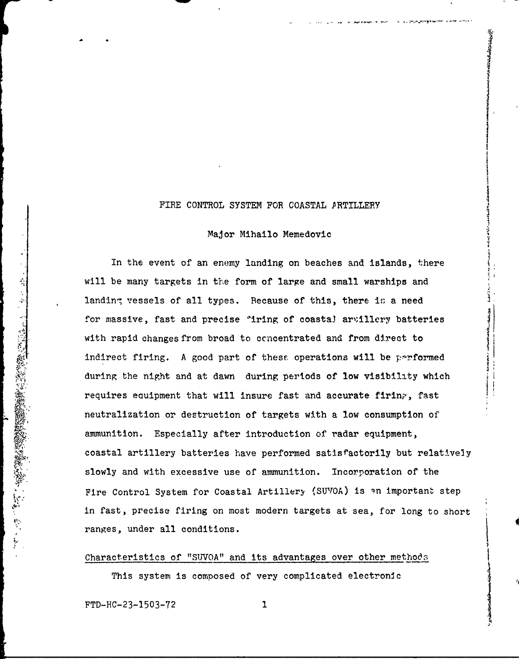### FIRE CONTROL SYSTEM FOR COASTAL PRTILLERY

#### Major Mlhailo Memedovic

In the event of an enemy landing on beaches and islands, there will be many targets in the form of large and small warships and landing vessels of all types. Because of this, there is a need for massive, fast and precise "iring of coastal arvillery batteries with rapid changes from broad to ccncentrated and from direct to indirect firing. A good part of these operations will be performed during the night and at dawn during periods of low visibility which Will be many targets in the form of large and small warships and<br>landing vessels of all types. Because of this, there is a need<br>for massive, fast and precise "iring of coastal arvillery batterie<br>with rapid changes from bro neutralization or destruction of targets with a low consumption of ammunition. Especially after introduction of radar equipment, coastal artillery batteries have performed satisfactorily but relatively slowly and with excessive use of ammunition. Incorporation of the Fire Control System for Coastal Artillery (SUVOA) is an important step in fast, precise firing on most modern targets at sea, for long to short ranges, under all conditions.

Characteristics of "SJVOA" and its advantages over other methods

This system is composed of very complicated electronic

FTD-HC-23-1503-72 **I**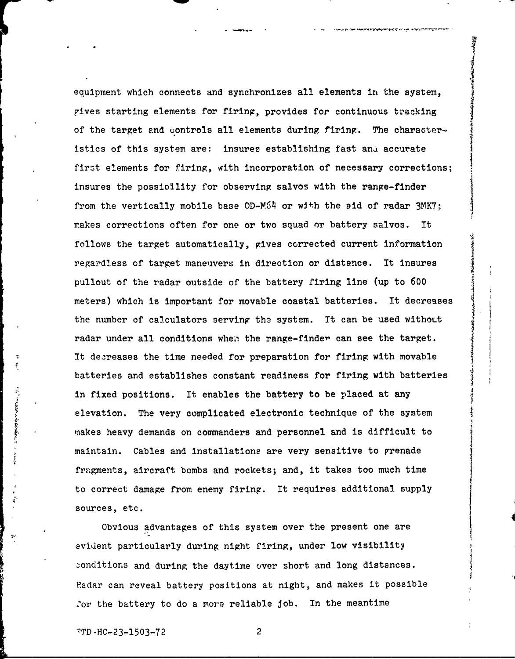equipment which connects and synchronizes all elements in the system, gives starting elements for firing, provides for continuous tracking of the target and controls all elements during firing. The characteristics of this system are: insures establishing fast and accurate first elements for firing, with incorporation of necessary corrections; insures the possioility for observing salvos with the range-finder from the vertically mobile base OD-M64 or with the aid of radar 3MK7; makes corrections often for one or two squad or battery salvos. It follows the target automatically, gives corrected current information regardless of target maneuvers in direction or distance. It insures pullout of the radar outside of the battery firing line (up to **600** meters) which is important for movable coastal batteries. It decreases the number of calculators serving the system. It can be used without radar under all conditions when the range-finder can see the target. It decreases the time needed for preparation for firing with movable batteries and establishes constant readiness for firing with batteries in fixed positions. It enables the battery to be placed at any elevation. The very complicated electronic technique of the system makes heavy demands on commanders and personnel and is difficult to maintain. Cables and installations are very sensitive to grenade fragments, aircraft bombs and rockets; and, it takes too much time to correct damage from enemy firing. It requires additional supply **I** sources, etc.

Obvious advantages of this system over the present one are evident particularly during night firing, under low visibility 3onditions and during the daytime over short and long distances. Radar can reveal battery positions at night, and makes it possible for the battery to do a more reliable job. In the meantime

**STATE AND CATALOGY**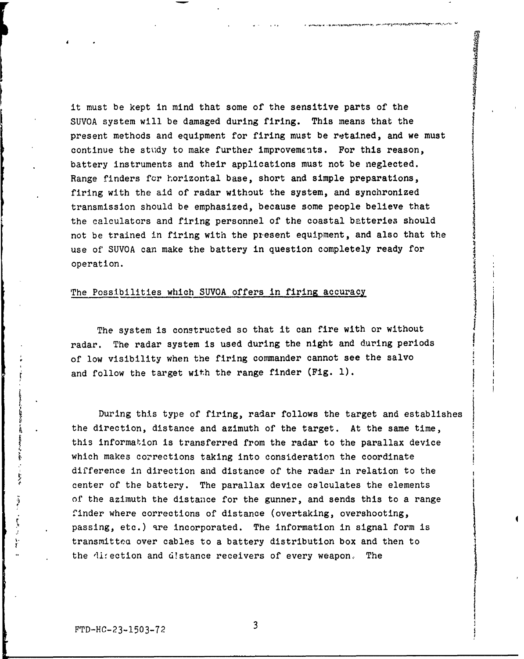it must be kept in mind that some of the sensitive parts of the SUVOA system will be damaged during firing. This means that the present methods and equipment for firing must be retained, and we must continue the study to make further improvements. For this reason, battery instruments and their applications must not be neglected. Range finders for horizontal base, short and simple preparations, firing with the aid of radar without the system, and synchronized transmission should be emphasized, because some people believe that the calculators and firing personnel of the coastal batteries should not be trained in firing with the present equipment, and also that the use of' SUVOA can make the battery in question completely ready for operation.

#### The Possibilities which SUVOA offers in firing accuracy

The system is constructed so that it can fire with or without radar. The radar system is used during the night and during periods of low visibility when the firing commander cannot see the salvo and follow the target with the range finder (Fig. 1).

During this type of firing, radar follows the target and establishes the direction, distance and azimuth of the target. At the same time, this information is transferred from the radar to the parallax device which makes corrections taking into consideration the coordinate difference in direction and distance of the radar in relation to the center of the battery. The parallax device calculates the elements of the azimuth the distance for the gunner, and sends this to a range finder where corrections of distance (overtaking, overshooting, passing, etc.) are incorporated. The information in signal form is transmittea over cables to a battery distribution box and then to the direction and d!stance receivers of every weapon. The

 $\frac{1}{2}$ 

 $\overline{\mathbf{3}}$ 

I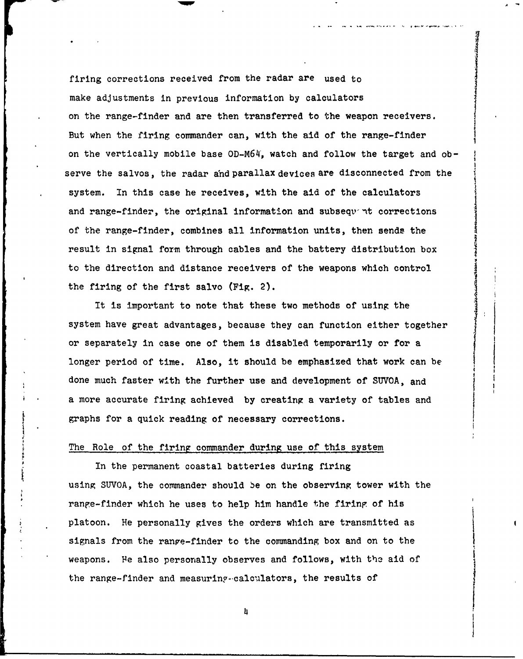firing corrections received from the radar are used to make adjustments in previous information by calculators on the range-finder and are then transferred to the weapon receivers. But when the firing commander can, with the aid of the range-finder on the vertically mobile base OD-M64', watch and follow the target and observe the salvos, the radar and parallaX devices are disconnected from the system. In this case he receives, with the aid of the calculators and range-finder, the original information and subsequent corrections of the range-finder, combines all information units, then sends the result in signal form through cables and the battery distribution box to the direction and distance receivers of the weapons which control the firing of the first salvo (Fig. 2).

It is important to note that these two methods of using the system have great advantages, because they can function either together or separately in case one of them is disabled temporarily or for a longer period of time. Also, it should be emphasized that work can be done much faster with the further use and development of SUVOA, and a more accurate firing achieved by creating a variety of tables and graphs for a quick reading of necessary corrections.

### The Role of the firing commander during use of this system

In the permanent coastal batteries during firing using SUVOA, the commander should be on the observing tower with the range-finder which he uses to help him handle the firing of his platoon. He personally gives the orders which are transmitted as signals from the ranve-finder to the commanding box and on to the weapons. Fe also personally observes and follows, with the aid of the range-finder and measuring-calculators, the results of

4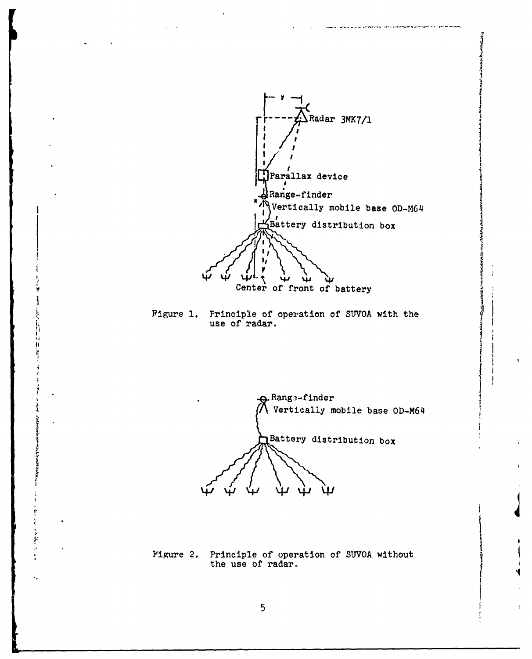

.<br>The contract of a complete state of the second contract of the contract of the contract of the contract of the

**The Association of the Association** 

ڊ<br>ج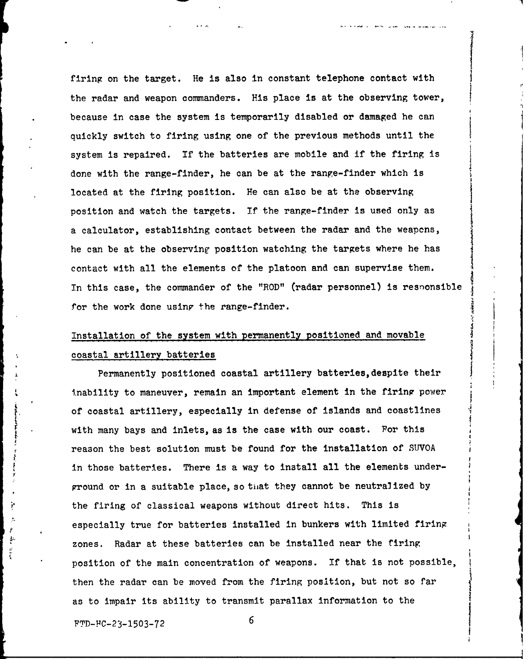firing on the target. He is also in constant telephone contact with the radar and weapon commanders. His place is at the observing tower, because in case the system is temporarily disabled or damaged he can quickly switch to firing using one of the previous methods until the system is repaired. If the batteries are mobile and if the firing is done with the range-finder, he can be at the range-finder which is located at the firing position. He can also be at the observing position and watch the targets. If the range-finder is used only as a calculator, establishing contact between the radar and the weapons, he can be at the observing position watching the targets where he has contact with all the elements of the platoon and can supervise them. In this case, the commander of the "ROD" (radar personnel) is resnonsible for the work done using the range-finder.

## Installation of the system with permanently positioned and movable coastal artillery batteries

Permanently positioned coastal artillery batteries,despite their inability to maneuver, remain an important element in the firing power of coastal artillery, especially in defense of islands and coastlines with many bays and inlets, as is the case with our coast. For this reason the best solution must be found for the installation of SUVOA in those batteries. There is a way to install all the elements underground or in a suitable place, so tiiat they cannot be neutralized by the firing of classical weapons without direct hits. This is especially true for batteries installed In bunkers with limited firing zones. Radar at these batteries can be installed near the firing position of the main concentration of weapons. If that is not possible, then the radar can be moved from the firing position, but not so far as to impair its ability to transmit parallax information to the

FTD-FC-23-1503-72 6

Y

ķ.  $\frac{1}{2}$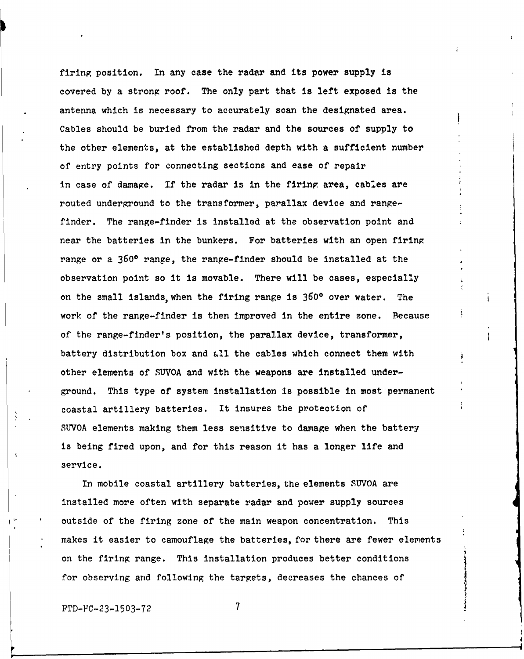firing position. In any case the radar and its power supply is covered by a strong roof. The only part that is left exposed is the antenna which is necessary to accurately scan the designated area. Cables should be buried from the radar and the sources of supply to the other elements, at the established depth with a sufficient number of entry points for connecting sections and ease of repair in case of damage. If the radar is in the firing area, cables are routed underground to the transformer, parallax device and rangefinder. The range-finder is installed at the observation point and near the batteries in the bunkers. For batteries with an open firing range or a **3600** range, the range-finder should be installed at the observation point so it is movable. There will be cases, especially on the small islands, when the firing range is **3600** over water. The work of the range-finder is then improved in the entire zone. Because of the range-finder's position, the parallax device, transformer, battery distribution box and **4ll** the cables which connect them with other elements of SUVOA and with the weapons are installed underground. This type of system installation is possible in most permanent coastal artillery batteries. It insures the protection of SUVOA elements making them less sensitive to damage when the battery is being fired upon, and for this reason it has a longer life and service.

In mobile coastal artillery batteries, the elements SUVOA are installed more often with separate radar and power supply sources outside of the firing zone of the main weapon concentration. This makes it easier to camouflage the batteries, for there are fewer elements on the firing range. This installation produces better conditions for observing and following the targets, decreases the chances of

FTD-FC-23-1503-72 **7**